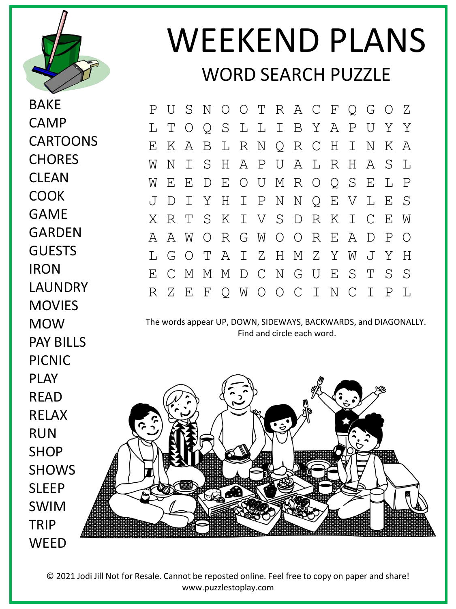

BAKE

CAMP

CARTOONS

**CHORES** 

**CLFAN** 

COOK

GAME

**GARDEN** 

**GUESTS** 

LAUNDRY

MOVIES

PAY BILLS

MOW

RUN

TRIP

**IRON** 

## WEEKEND PLANS WORD SEARCH PUZZLE

P U S N O O T R A C F Q G O Z L T O Q S L L I B Y A P U Y Y E K A B L R N Q R C H I N K A W N I S H A P U A L R H A S L W E E D E O U M R O Q S E L P J D I Y H I P N N Q E V L E S X R T S K I V S D R K I C E W A A W O R G W O O R E A D P O L G O T A I Z H M Z Y W J Y H E C M M M D C N G U E S T S S R Z E F Q W O O C I N C I P L

The words appear UP, DOWN, SIDEWAYS, BACKWARDS, and DIAGONALLY. Find and circle each word.



© 2021 Jodi Jill Not for Resale. Cannot be reposted online. Feel free to copy on paper and share! www.puzzlestoplay.com